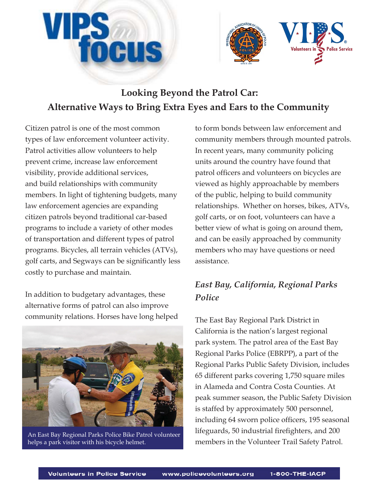



# **Looking Beyond the Patrol Car: Alternative Ways to Bring Extra Eyes and Ears to the Community**

Citizen patrol is one of the most common types of law enforcement volunteer activity. Patrol activities allow volunteers to help prevent crime, increase law enforcement visibility, provide additional services, and build relationships with community members. In light of tightening budgets, many law enforcement agencies are expanding citizen patrols beyond traditional car-based programs to include a variety of other modes of transportation and different types of patrol programs. Bicycles, all terrain vehicles (ATVs), golf carts, and Segways can be significantly less costly to purchase and maintain.

In addition to budgetary advantages, these alternative forms of patrol can also improve community relations. Horses have long helped



An East Bay Regional Parks Police Bike Patrol volunteer helps a park visitor with his bicycle helmet.

to form bonds between law enforcement and community members through mounted patrols. In recent years, many community policing units around the country have found that patrol officers and volunteers on bicycles are viewed as highly approachable by members of the public, helping to build community relationships. Whether on horses, bikes, ATVs, golf carts, or on foot, volunteers can have a better view of what is going on around them, and can be easily approached by community members who may have questions or need assistance.

# *East Bay, California, Regional Parks Police*

The East Bay Regional Park District in California is the nation's largest regional park system. The patrol area of the East Bay Regional Parks Police (EBRPP), a part of the Regional Parks Public Safety Division, includes 65 different parks covering 1,750 square miles in Alameda and Contra Costa Counties. At peak summer season, the Public Safety Division is staffed by approximately 500 personnel, including 64 sworn police officers, 195 seasonal lifeguards, 50 industrial firefighters, and 200 members in the Volunteer Trail Safety Patrol.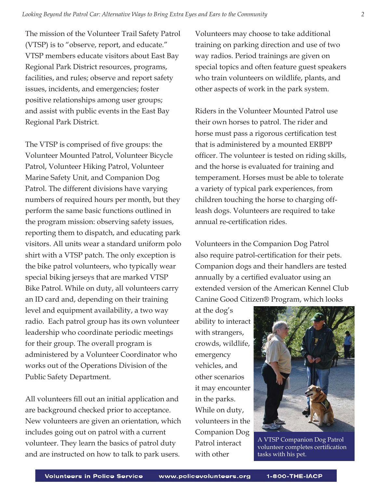The mission of the Volunteer Trail Safety Patrol (VTSP) is to "observe, report, and educate." VTSP members educate visitors about East Bay Regional Park District resources, programs, facilities, and rules; observe and report safety issues, incidents, and emergencies; foster positive relationships among user groups; and assist with public events in the East Bay Regional Park District.

The VTSP is comprised of five groups: the Volunteer Mounted Patrol, Volunteer Bicycle Patrol, Volunteer Hiking Patrol, Volunteer Marine Safety Unit, and Companion Dog Patrol. The different divisions have varying numbers of required hours per month, but they perform the same basic functions outlined in the program mission: observing safety issues, reporting them to dispatch, and educating park visitors. All units wear a standard uniform polo shirt with a VTSP patch. The only exception is the bike patrol volunteers, who typically wear special biking jerseys that are marked VTSP Bike Patrol. While on duty, all volunteers carry an ID card and, depending on their training level and equipment availability, a two way radio. Each patrol group has its own volunteer leadership who coordinate periodic meetings for their group. The overall program is administered by a Volunteer Coordinator who works out of the Operations Division of the Public Safety Department.

All volunteers fill out an initial application and are background checked prior to acceptance. New volunteers are given an orientation, which includes going out on patrol with a current volunteer. They learn the basics of patrol duty and are instructed on how to talk to park users.

Volunteers may choose to take additional training on parking direction and use of two way radios. Period trainings are given on special topics and often feature guest speakers who train volunteers on wildlife, plants, and other aspects of work in the park system.

Riders in the Volunteer Mounted Patrol use their own horses to patrol. The rider and horse must pass a rigorous certification test that is administered by a mounted ERBPP officer. The volunteer is tested on riding skills, and the horse is evaluated for training and temperament. Horses must be able to tolerate a variety of typical park experiences, from children touching the horse to charging offleash dogs. Volunteers are required to take annual re-certification rides.

Volunteers in the Companion Dog Patrol also require patrol-certification for their pets. Companion dogs and their handlers are tested annually by a certified evaluator using an extended version of the American Kennel Club Canine Good Citizen® Program, which looks

at the dog's ability to interact with strangers, crowds, wildlife, emergency vehicles, and other scenarios it may encounter in the parks. While on duty, volunteers in the Companion Dog Patrol interact with other



A VTSP Companion Dog Patrol volunteer completes certification tasks with his pet.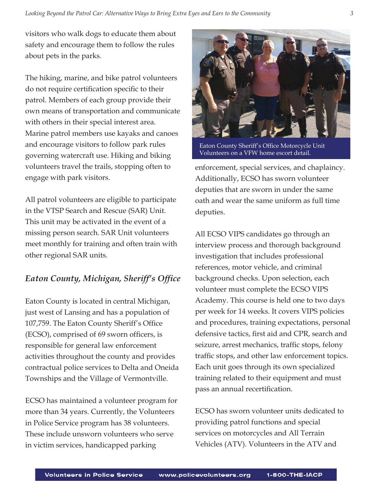visitors who walk dogs to educate them about safety and encourage them to follow the rules about pets in the parks.

The hiking, marine, and bike patrol volunteers do not require certification specific to their patrol. Members of each group provide their own means of transportation and communicate with others in their special interest area. Marine patrol members use kayaks and canoes and encourage visitors to follow park rules governing watercraft use. Hiking and biking volunteers travel the trails, stopping often to engage with park visitors.

All patrol volunteers are eligible to participate in the VTSP Search and Rescue (SAR) Unit. This unit may be activated in the event of a missing person search. SAR Unit volunteers meet monthly for training and often train with other regional SAR units.

# *Eaton County, Michigan, Sheriff's Office*

Eaton County is located in central Michigan, just west of Lansing and has a population of 107,759. The Eaton County Sheriff's Office (ECSO), comprised of 69 sworn officers, is responsible for general law enforcement activities throughout the county and provides contractual police services to Delta and Oneida Townships and the Village of Vermontville.

ECSO has maintained a volunteer program for more than 34 years. Currently, the Volunteers in Police Service program has 38 volunteers. These include unsworn volunteers who serve in victim services, handicapped parking



Eaton County Sheriff's Office Motorcycle Unit Volunteers on a VFW home escort detail.

enforcement, special services, and chaplaincy. Additionally, ECSO has sworn volunteer deputies that are sworn in under the same oath and wear the same uniform as full time deputies.

All ECSO VIPS candidates go through an interview process and thorough background investigation that includes professional references, motor vehicle, and criminal background checks. Upon selection, each volunteer must complete the ECSO VIPS Academy. This course is held one to two days per week for 14 weeks. It covers VIPS policies and procedures, training expectations, personal defensive tactics, first aid and CPR, search and seizure, arrest mechanics, traffic stops, felony traffic stops, and other law enforcement topics. Each unit goes through its own specialized training related to their equipment and must pass an annual recertification.

ECSO has sworn volunteer units dedicated to providing patrol functions and special services on motorcycles and All Terrain Vehicles (ATV). Volunteers in the ATV and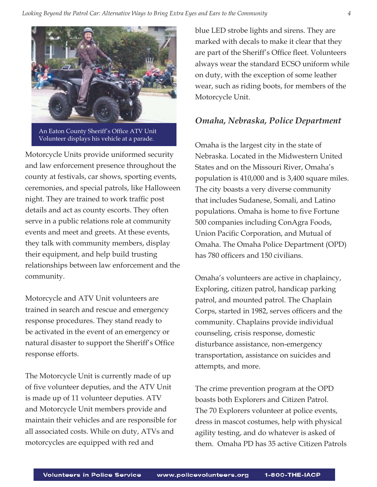

An Eaton County Sheriff's Office ATV Unit Volunteer displays his vehicle at a parade.

Motorcycle Units provide uniformed security and law enforcement presence throughout the county at festivals, car shows, sporting events, ceremonies, and special patrols, like Halloween night. They are trained to work traffic post details and act as county escorts. They often serve in a public relations role at community events and meet and greets. At these events, they talk with community members, display their equipment, and help build trusting relationships between law enforcement and the community.

Motorcycle and ATV Unit volunteers are trained in search and rescue and emergency response procedures. They stand ready to be activated in the event of an emergency or natural disaster to support the Sheriff's Office response efforts.

The Motorcycle Unit is currently made of up of five volunteer deputies, and the ATV Unit is made up of 11 volunteer deputies. ATV and Motorcycle Unit members provide and maintain their vehicles and are responsible for all associated costs. While on duty, ATVs and motorcycles are equipped with red and

blue LED strobe lights and sirens. They are marked with decals to make it clear that they are part of the Sheriff's Office fleet. Volunteers always wear the standard ECSO uniform while on duty, with the exception of some leather wear, such as riding boots, for members of the Motorcycle Unit.

## *Omaha, Nebraska, Police Department*

Omaha is the largest city in the state of Nebraska. Located in the Midwestern United States and on the Missouri River, Omaha's population is 410,000 and is 3,400 square miles. The city boasts a very diverse community that includes Sudanese, Somali, and Latino populations. Omaha is home to five Fortune 500 companies including ConAgra Foods, Union Pacific Corporation, and Mutual of Omaha. The Omaha Police Department (OPD) has 780 officers and 150 civilians.

Omaha's volunteers are active in chaplaincy, Exploring, citizen patrol, handicap parking patrol, and mounted patrol. The Chaplain Corps, started in 1982, serves officers and the community. Chaplains provide individual counseling, crisis response, domestic disturbance assistance, non-emergency transportation, assistance on suicides and attempts, and more.

The crime prevention program at the OPD boasts both Explorers and Citizen Patrol. The 70 Explorers volunteer at police events, dress in mascot costumes, help with physical agility testing, and do whatever is asked of them. Omaha PD has 35 active Citizen Patrols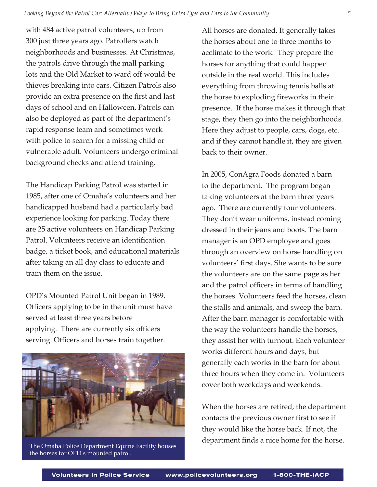with 484 active patrol volunteers, up from 300 just three years ago. Patrollers watch neighborhoods and businesses. At Christmas, the patrols drive through the mall parking lots and the Old Market to ward off would-be thieves breaking into cars. Citizen Patrols also provide an extra presence on the first and last days of school and on Halloween. Patrols can also be deployed as part of the department's rapid response team and sometimes work with police to search for a missing child or vulnerable adult. Volunteers undergo criminal background checks and attend training.

The Handicap Parking Patrol was started in 1985, after one of Omaha's volunteers and her handicapped husband had a particularly bad experience looking for parking. Today there are 25 active volunteers on Handicap Parking Patrol. Volunteers receive an identification badge, a ticket book, and educational materials after taking an all day class to educate and train them on the issue.

OPD's Mounted Patrol Unit began in 1989. Officers applying to be in the unit must have served at least three years before applying. There are currently six officers serving. Officers and horses train together.



The Omaha Police Department Equine Facility houses the horses for OPD's mounted patrol.

All horses are donated. It generally takes the horses about one to three months to acclimate to the work. They prepare the horses for anything that could happen outside in the real world. This includes everything from throwing tennis balls at the horse to exploding fireworks in their presence. If the horse makes it through that stage, they then go into the neighborhoods. Here they adjust to people, cars, dogs, etc. and if they cannot handle it, they are given back to their owner.

In 2005, ConAgra Foods donated a barn to the department. The program began taking volunteers at the barn three years ago. There are currently four volunteers. They don't wear uniforms, instead coming dressed in their jeans and boots. The barn manager is an OPD employee and goes through an overview on horse handling on volunteers' first days. She wants to be sure the volunteers are on the same page as her and the patrol officers in terms of handling the horses. Volunteers feed the horses, clean the stalls and animals, and sweep the barn. After the barn manager is comfortable with the way the volunteers handle the horses, they assist her with turnout. Each volunteer works different hours and days, but generally each works in the barn for about three hours when they come in. Volunteers cover both weekdays and weekends.

When the horses are retired, the department contacts the previous owner first to see if they would like the horse back. If not, the department finds a nice home for the horse.